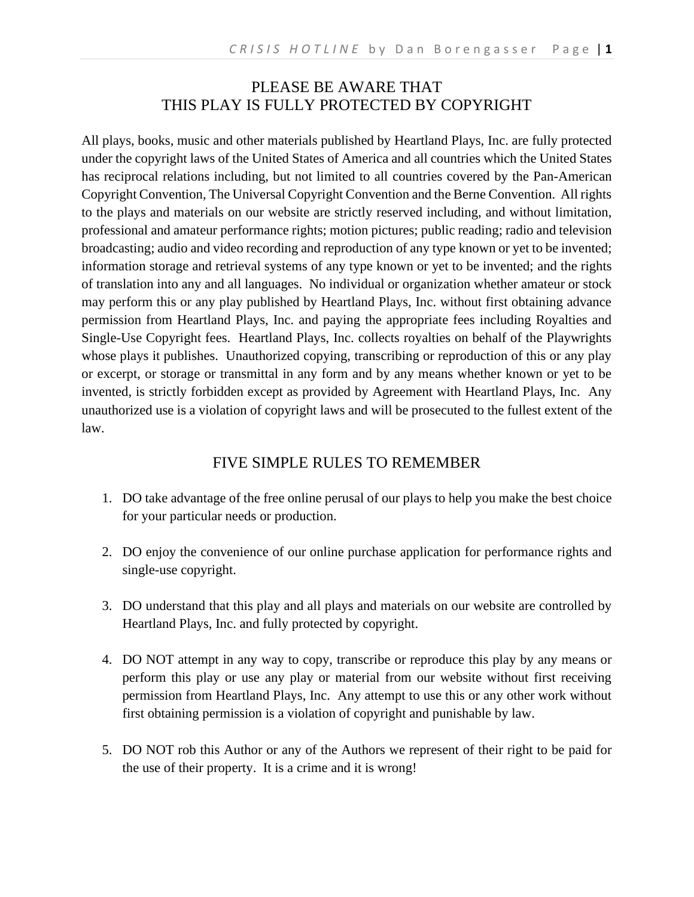#### PLEASE BE AWARE THAT THIS PLAY IS FULLY PROTECTED BY COPYRIGHT

All plays, books, music and other materials published by Heartland Plays, Inc. are fully protected under the copyright laws of the United States of America and all countries which the United States has reciprocal relations including, but not limited to all countries covered by the Pan-American Copyright Convention, The Universal Copyright Convention and the Berne Convention. All rights to the plays and materials on our website are strictly reserved including, and without limitation, professional and amateur performance rights; motion pictures; public reading; radio and television broadcasting; audio and video recording and reproduction of any type known or yet to be invented; information storage and retrieval systems of any type known or yet to be invented; and the rights of translation into any and all languages. No individual or organization whether amateur or stock may perform this or any play published by Heartland Plays, Inc. without first obtaining advance permission from Heartland Plays, Inc. and paying the appropriate fees including Royalties and Single-Use Copyright fees. Heartland Plays, Inc. collects royalties on behalf of the Playwrights whose plays it publishes. Unauthorized copying, transcribing or reproduction of this or any play or excerpt, or storage or transmittal in any form and by any means whether known or yet to be invented, is strictly forbidden except as provided by Agreement with Heartland Plays, Inc. Any unauthorized use is a violation of copyright laws and will be prosecuted to the fullest extent of the law.

#### FIVE SIMPLE RULES TO REMEMBER

- 1. DO take advantage of the free online perusal of our plays to help you make the best choice for your particular needs or production.
- 2. DO enjoy the convenience of our online purchase application for performance rights and single-use copyright.
- 3. DO understand that this play and all plays and materials on our website are controlled by Heartland Plays, Inc. and fully protected by copyright.
- 4. DO NOT attempt in any way to copy, transcribe or reproduce this play by any means or perform this play or use any play or material from our website without first receiving permission from Heartland Plays, Inc. Any attempt to use this or any other work without first obtaining permission is a violation of copyright and punishable by law.
- 5. DO NOT rob this Author or any of the Authors we represent of their right to be paid for the use of their property. It is a crime and it is wrong!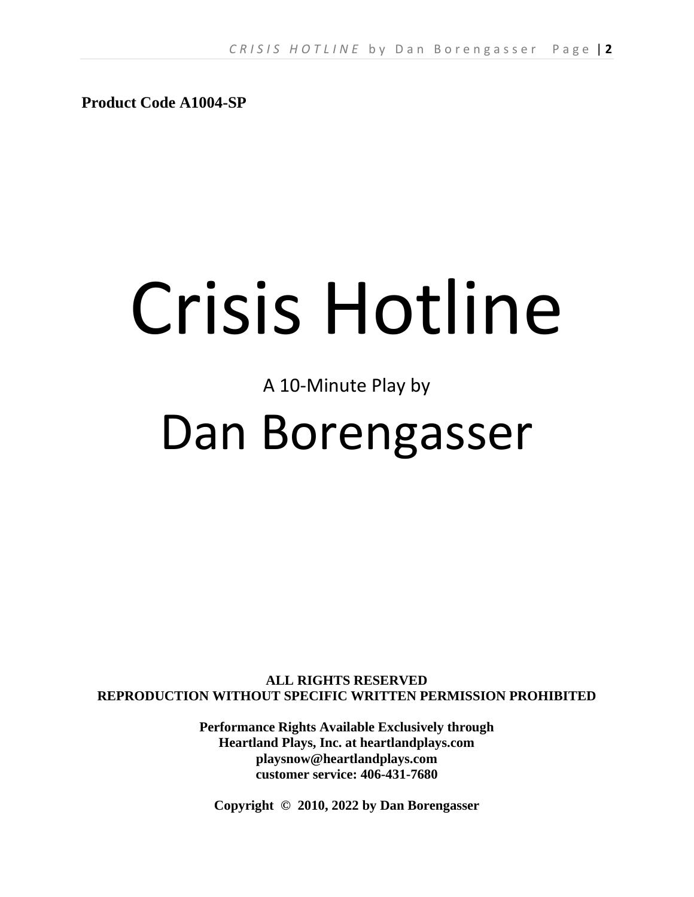**Product Code A1004-SP**

# Crisis Hotline

# A 10-Minute Play by

# Dan Borengasser

**ALL RIGHTS RESERVED REPRODUCTION WITHOUT SPECIFIC WRITTEN PERMISSION PROHIBITED**

> **Performance Rights Available Exclusively through Heartland Plays, Inc. at heartlandplays.com playsnow@heartlandplays.com customer service: 406-431-7680**

**Copyright © 2010, 2022 by Dan Borengasser**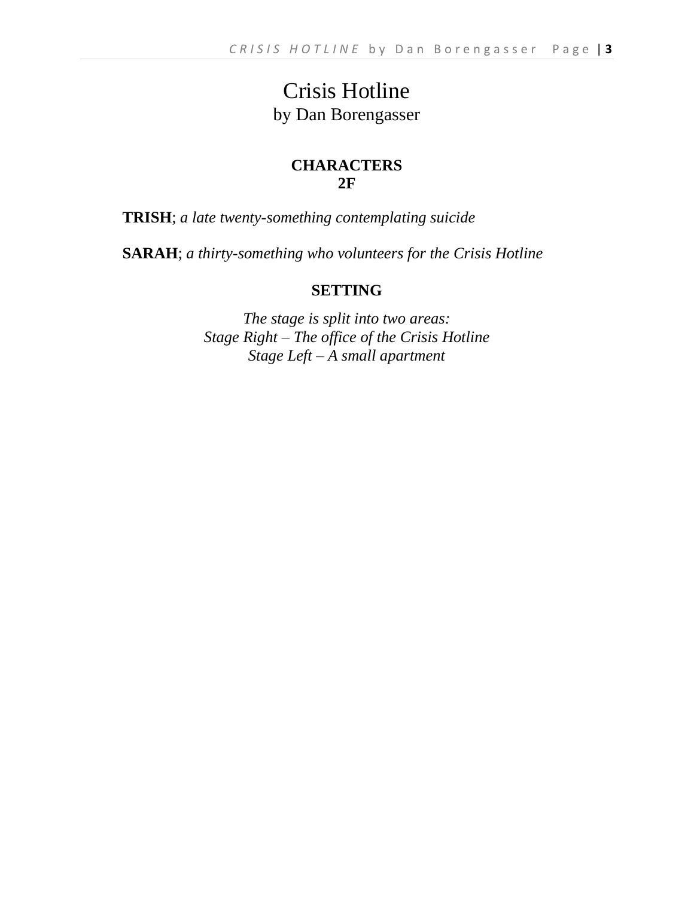## Crisis Hotline by Dan Borengasser

#### **CHARACTERS 2F**

**TRISH**; *a late twenty-something contemplating suicide*

**SARAH**; *a thirty-something who volunteers for the Crisis Hotline*

#### **SETTING**

*The stage is split into two areas: Stage Right – The office of the Crisis Hotline Stage Left – A small apartment*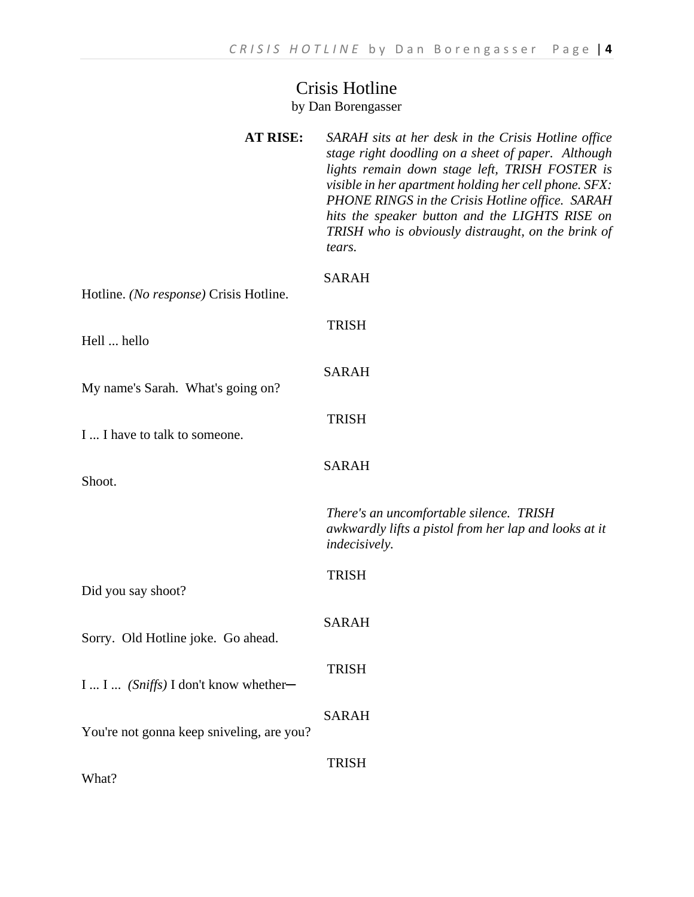### Crisis Hotline by Dan Borengasser

| <b>AT RISE:</b>                           | SARAH sits at her desk in the Crisis Hotline office<br>stage right doodling on a sheet of paper. Although<br>lights remain down stage left, TRISH FOSTER is<br>visible in her apartment holding her cell phone. SFX:<br>PHONE RINGS in the Crisis Hotline office. SARAH<br>hits the speaker button and the LIGHTS RISE on<br>TRISH who is obviously distraught, on the brink of<br>tears. |
|-------------------------------------------|-------------------------------------------------------------------------------------------------------------------------------------------------------------------------------------------------------------------------------------------------------------------------------------------------------------------------------------------------------------------------------------------|
| Hotline. (No response) Crisis Hotline.    | <b>SARAH</b>                                                                                                                                                                                                                                                                                                                                                                              |
| Hell  hello                               | <b>TRISH</b>                                                                                                                                                                                                                                                                                                                                                                              |
| My name's Sarah. What's going on?         | <b>SARAH</b>                                                                                                                                                                                                                                                                                                                                                                              |
| I  I have to talk to someone.             | <b>TRISH</b>                                                                                                                                                                                                                                                                                                                                                                              |
| Shoot.                                    | <b>SARAH</b>                                                                                                                                                                                                                                                                                                                                                                              |
|                                           | There's an uncomfortable silence. TRISH<br>awkwardly lifts a pistol from her lap and looks at it<br><i>indecisively.</i>                                                                                                                                                                                                                                                                  |
| Did you say shoot?                        | <b>TRISH</b>                                                                                                                                                                                                                                                                                                                                                                              |
| Sorry. Old Hotline joke. Go ahead.        | SARAH                                                                                                                                                                                                                                                                                                                                                                                     |
| I  I  (Sniffs) I don't know whether-      | <b>TRISH</b>                                                                                                                                                                                                                                                                                                                                                                              |
| You're not gonna keep sniveling, are you? | <b>SARAH</b>                                                                                                                                                                                                                                                                                                                                                                              |
| What?                                     | <b>TRISH</b>                                                                                                                                                                                                                                                                                                                                                                              |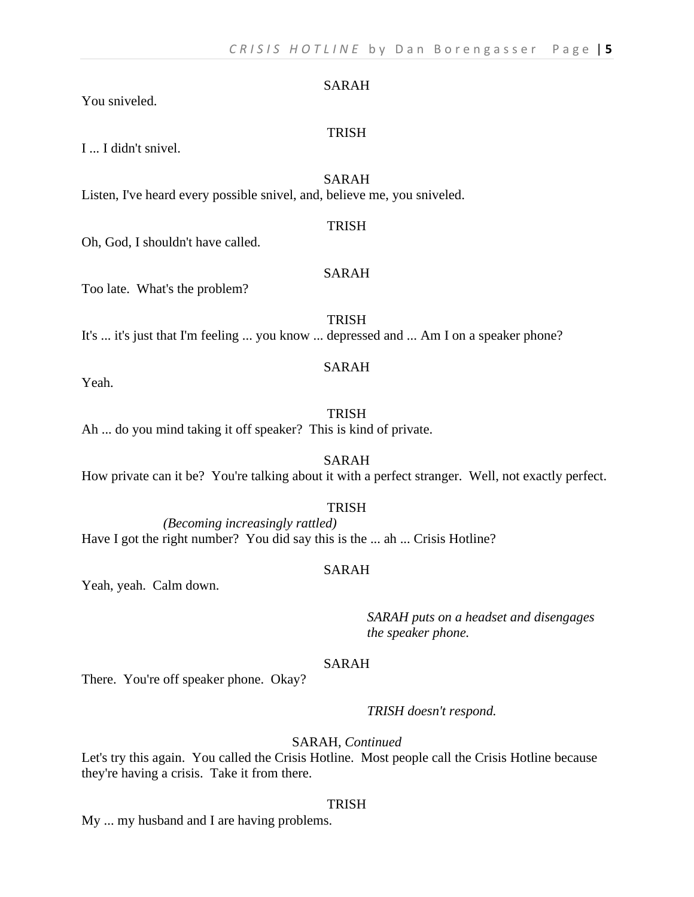#### SARAH

You sniveled.

I ... I didn't snivel.

#### SARAH

**TRISH** 

Listen, I've heard every possible snivel, and, believe me, you sniveled.

#### TRISH

Oh, God, I shouldn't have called.

#### SARAH

Too late. What's the problem?

**TRISH** It's ... it's just that I'm feeling ... you know ... depressed and ... Am I on a speaker phone?

#### SARAH

Yeah.

#### **TRISH**

Ah ... do you mind taking it off speaker? This is kind of private.

SARAH How private can it be? You're talking about it with a perfect stranger. Well, not exactly perfect.

#### TRISH

*(Becoming increasingly rattled)* Have I got the right number? You did say this is the ... ah ... Crisis Hotline?

#### SARAH

Yeah, yeah. Calm down.

*SARAH puts on a headset and disengages the speaker phone.*

#### SARAH

There. You're off speaker phone. Okay?

*TRISH doesn't respond.*

#### SARAH, *Continued*

Let's try this again. You called the Crisis Hotline. Most people call the Crisis Hotline because they're having a crisis. Take it from there.

#### **TRISH**

My ... my husband and I are having problems.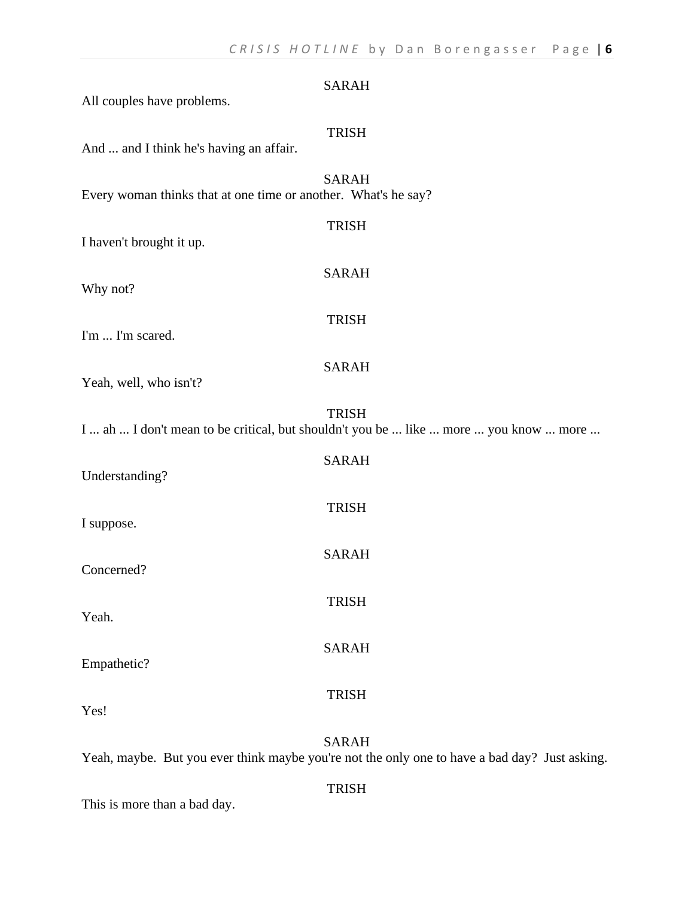| All couples have problems.                                     | <b>SARAH</b>                                                                                         |
|----------------------------------------------------------------|------------------------------------------------------------------------------------------------------|
| And  and I think he's having an affair.                        | <b>TRISH</b>                                                                                         |
| Every woman thinks that at one time or another. What's he say? | <b>SARAH</b>                                                                                         |
| I haven't brought it up.                                       | <b>TRISH</b>                                                                                         |
| Why not?                                                       | <b>SARAH</b>                                                                                         |
| I'm  I'm scared.                                               | <b>TRISH</b>                                                                                         |
| Yeah, well, who isn't?                                         | <b>SARAH</b>                                                                                         |
|                                                                | <b>TRISH</b><br>I  ah  I don't mean to be critical, but shouldn't you be  like  more  you know  more |
| Understanding?                                                 | <b>SARAH</b>                                                                                         |
| I suppose.                                                     | <b>TRISH</b>                                                                                         |
| Concerned?                                                     | <b>SARAH</b>                                                                                         |
| Yeah.                                                          | <b>TRISH</b>                                                                                         |
| Empathetic?                                                    | <b>SARAH</b>                                                                                         |
|                                                                | <b>TRISH</b>                                                                                         |
| Yes!                                                           | <b>SARAH</b>                                                                                         |

Yeah, maybe. But you ever think maybe you're not the only one to have a bad day? Just asking.

TRISH

This is more than a bad day.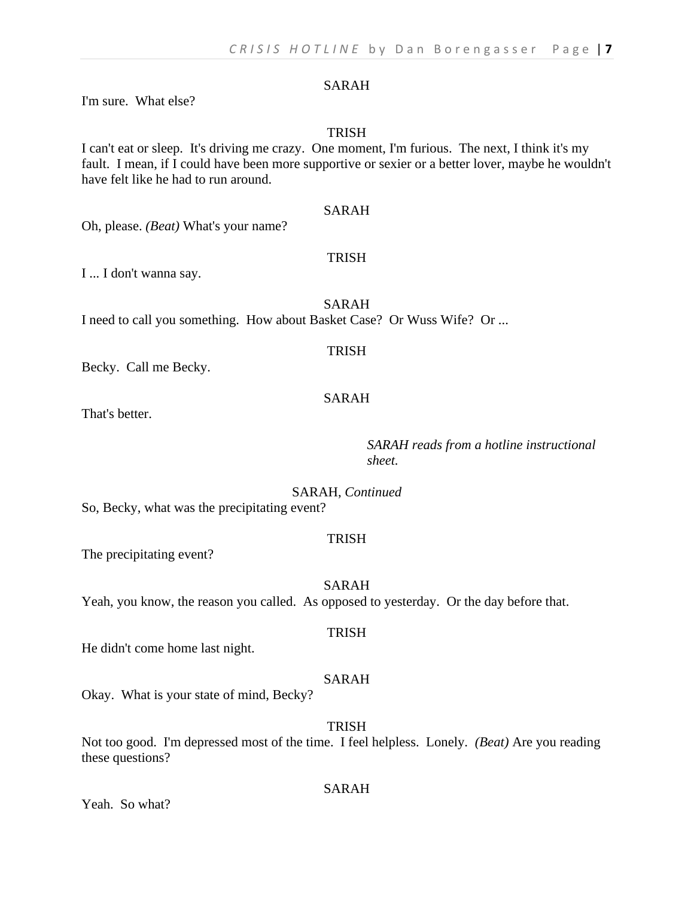#### SARAH

I'm sure. What else?

#### TRISH

#### I can't eat or sleep. It's driving me crazy. One moment, I'm furious. The next, I think it's my fault. I mean, if I could have been more supportive or sexier or a better lover, maybe he wouldn't have felt like he had to run around.

#### SARAH

Oh, please. *(Beat)* What's your name?

#### TRISH

I ... I don't wanna say.

SARAH I need to call you something. How about Basket Case? Or Wuss Wife? Or ...

#### TRISH

Becky. Call me Becky.

#### SARAH

That's better.

#### *SARAH reads from a hotline instructional sheet.*

SARAH, *Continued*

So, Becky, what was the precipitating event?

#### TRISH

The precipitating event?

SARAH

TRISH

Yeah, you know, the reason you called. As opposed to yesterday. Or the day before that.

#### He didn't come home last night.

#### SARAH

Okay. What is your state of mind, Becky?

TRISH

Not too good. I'm depressed most of the time. I feel helpless. Lonely. *(Beat)* Are you reading these questions?

#### Yeah. So what?

#### SARAH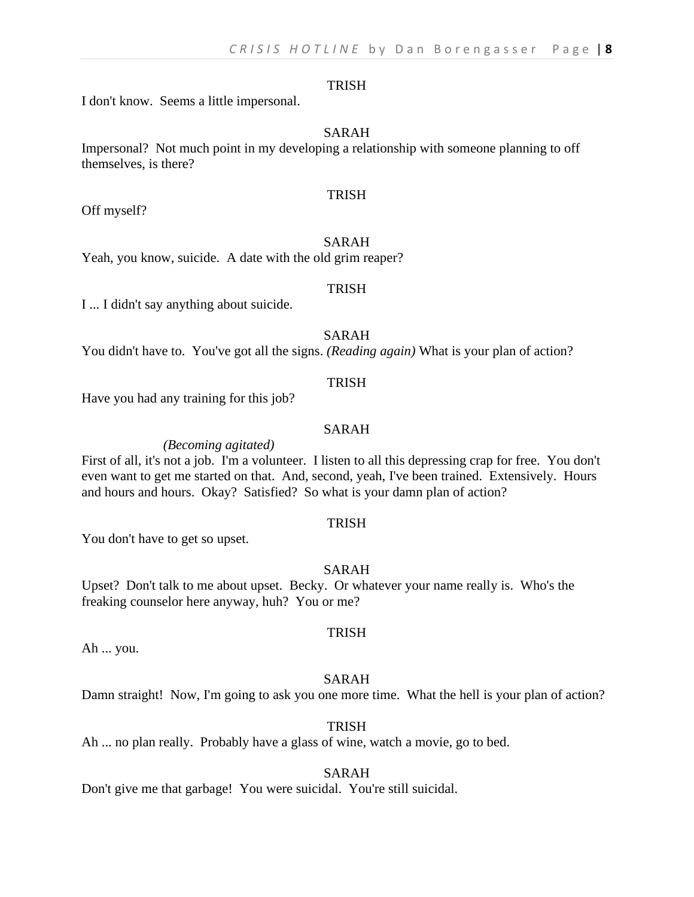#### TRISH

I don't know. Seems a little impersonal.

#### SARAH

Impersonal? Not much point in my developing a relationship with someone planning to off themselves, is there?

#### **TRISH**

Off myself?

#### SARAH

Yeah, you know, suicide. A date with the old grim reaper?

#### **TRISH**

I ... I didn't say anything about suicide.

#### SARAH

You didn't have to. You've got all the signs. *(Reading again)* What is your plan of action?

#### TRISH

Have you had any training for this job?

#### SARAH

*(Becoming agitated)*

First of all, it's not a job. I'm a volunteer. I listen to all this depressing crap for free. You don't even want to get me started on that. And, second, yeah, I've been trained. Extensively. Hours and hours and hours. Okay? Satisfied? So what is your damn plan of action?

#### TRISH

You don't have to get so upset.

#### SARAH

Upset? Don't talk to me about upset. Becky. Or whatever your name really is. Who's the freaking counselor here anyway, huh? You or me?

#### **TRISH**

Ah ... you.

#### SARAH

Damn straight! Now, I'm going to ask you one more time. What the hell is your plan of action?

#### **TRISH**

Ah ... no plan really. Probably have a glass of wine, watch a movie, go to bed.

#### SARAH

Don't give me that garbage! You were suicidal. You're still suicidal.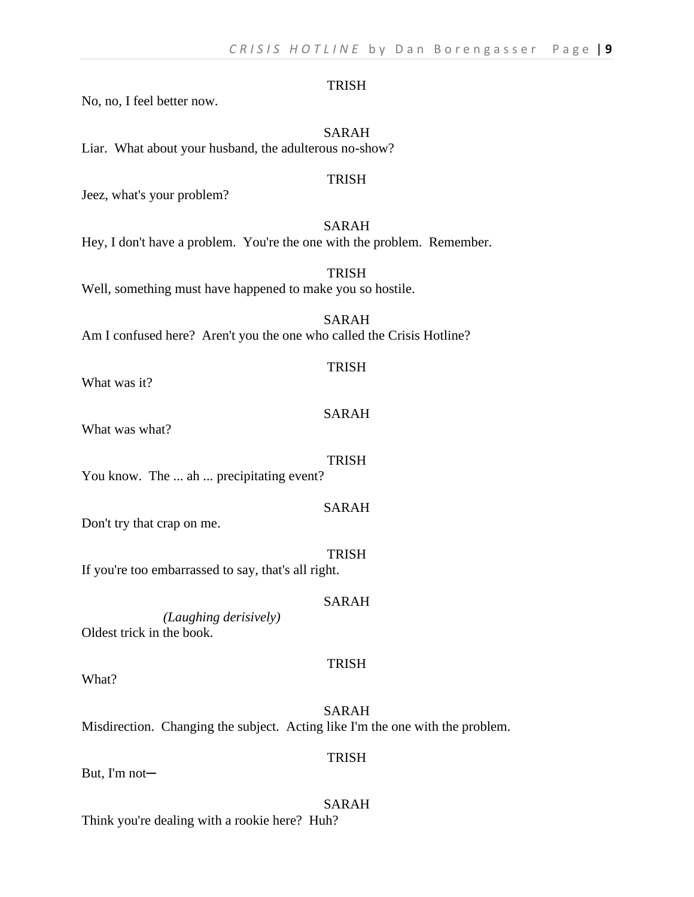#### TRISH

No, no, I feel better now.

#### SARAH

Liar. What about your husband, the adulterous no-show?

#### TRISH

Jeez, what's your problem?

#### SARAH

Hey, I don't have a problem. You're the one with the problem. Remember.

TRISH Well, something must have happened to make you so hostile.

SARAH Am I confused here? Aren't you the one who called the Crisis Hotline?

#### TRISH

What was it?

#### SARAH

What was what?

#### TRISH

You know. The ... ah ... precipitating event?

#### SARAH

Don't try that crap on me.

TRISH

If you're too embarrassed to say, that's all right.

#### SARAH

*(Laughing derisively)* Oldest trick in the book.

What?

SARAH Misdirection. Changing the subject. Acting like I'm the one with the problem.

But, I'm not─

#### SARAH Think you're dealing with a rookie here? Huh?

#### **TRISH**

TRISH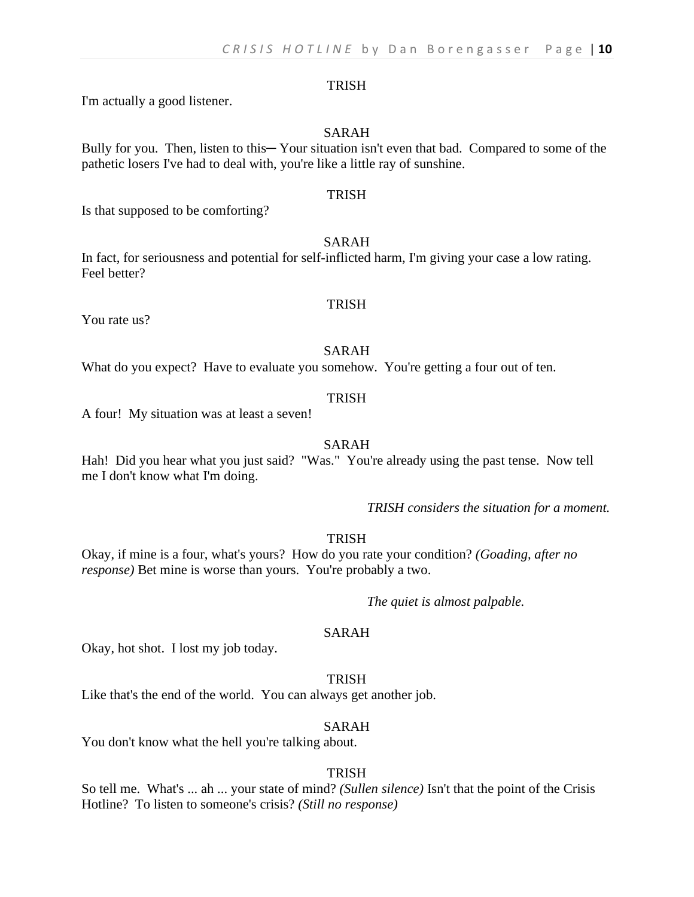#### TRISH

I'm actually a good listener.

#### SARAH

Bully for you. Then, listen to this—Your situation isn't even that bad. Compared to some of the pathetic losers I've had to deal with, you're like a little ray of sunshine.

#### **TRISH**

Is that supposed to be comforting?

#### SARAH

In fact, for seriousness and potential for self-inflicted harm, I'm giving your case a low rating. Feel better?

You rate us?

#### TRISH

#### SARAH

What do you expect? Have to evaluate you somehow. You're getting a four out of ten.

#### **TRISH**

A four! My situation was at least a seven!

#### SARAH

Hah! Did you hear what you just said? "Was." You're already using the past tense. Now tell me I don't know what I'm doing.

*TRISH considers the situation for a moment.*

#### TRISH

Okay, if mine is a four, what's yours? How do you rate your condition? *(Goading, after no response)* Bet mine is worse than yours. You're probably a two.

*The quiet is almost palpable.*

#### SARAH

Okay, hot shot. I lost my job today.

#### **TRISH**

Like that's the end of the world. You can always get another job.

#### SARAH

You don't know what the hell you're talking about.

#### TRISH

So tell me. What's ... ah ... your state of mind? *(Sullen silence)* Isn't that the point of the Crisis Hotline? To listen to someone's crisis? *(Still no response)*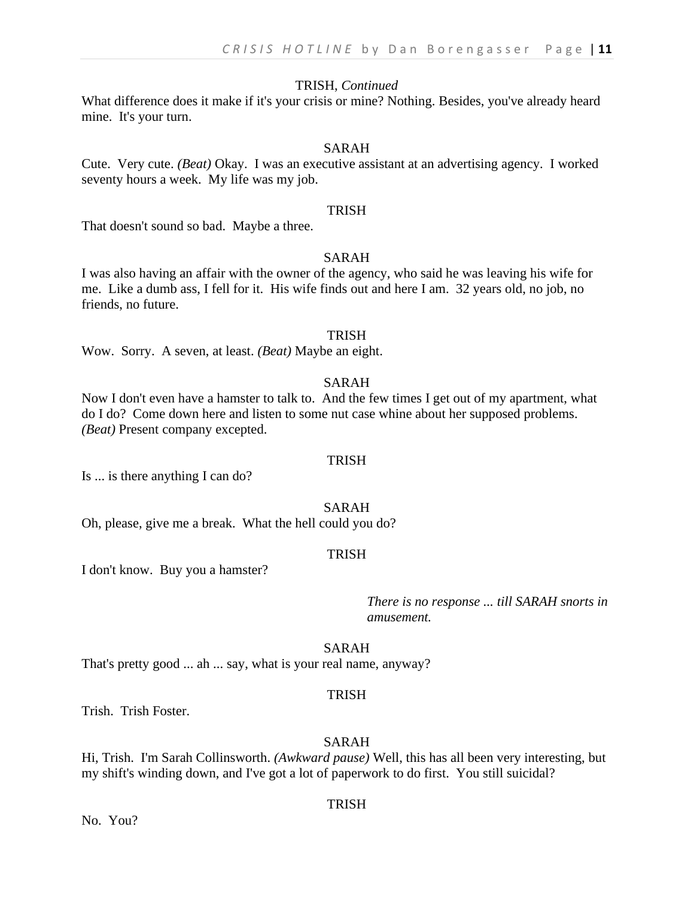#### TRISH, *Continued*

What difference does it make if it's your crisis or mine? Nothing. Besides, you've already heard mine. It's your turn.

#### SARAH

Cute. Very cute. *(Beat)* Okay. I was an executive assistant at an advertising agency. I worked seventy hours a week. My life was my job.

#### TRISH

That doesn't sound so bad. Maybe a three.

#### SARAH

I was also having an affair with the owner of the agency, who said he was leaving his wife for me. Like a dumb ass, I fell for it. His wife finds out and here I am. 32 years old, no job, no friends, no future.

#### **TRISH**

Wow. Sorry. A seven, at least. *(Beat)* Maybe an eight.

#### SARAH

Now I don't even have a hamster to talk to. And the few times I get out of my apartment, what do I do? Come down here and listen to some nut case whine about her supposed problems. *(Beat)* Present company excepted.

#### TRISH

Is ... is there anything I can do?

#### SARAH

Oh, please, give me a break. What the hell could you do?

#### **TRISH**

I don't know. Buy you a hamster?

*There is no response ... till SARAH snorts in amusement.*

#### SARAH

That's pretty good ... ah ... say, what is your real name, anyway?

#### TRISH

Trish. Trish Foster.

#### SARAH

Hi, Trish. I'm Sarah Collinsworth. *(Awkward pause)* Well, this has all been very interesting, but my shift's winding down, and I've got a lot of paperwork to do first. You still suicidal?

#### **TRISH**

No. You?